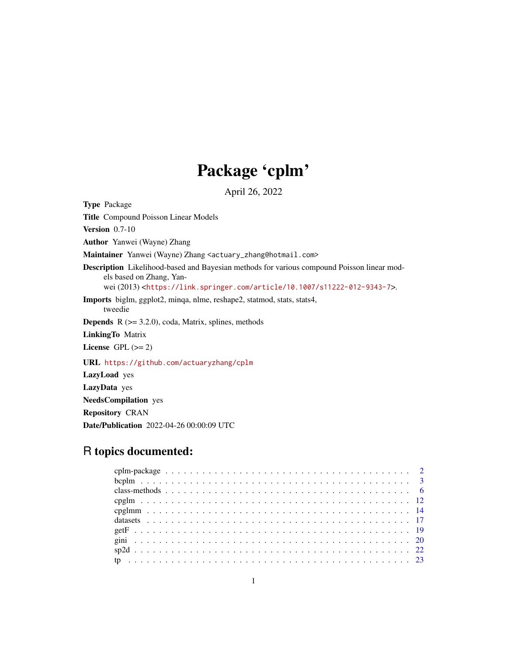# Package 'cplm'

April 26, 2022

<span id="page-0-0"></span>Type Package Title Compound Poisson Linear Models **Version** 0.7-10 Author Yanwei (Wayne) Zhang Maintainer Yanwei (Wayne) Zhang <actuary\_zhang@hotmail.com> Description Likelihood-based and Bayesian methods for various compound Poisson linear models based on Zhang, Yanwei (2013) <<https://link.springer.com/article/10.1007/s11222-012-9343-7>>. Imports biglm, ggplot2, minqa, nlme, reshape2, statmod, stats, stats4, tweedie **Depends**  $R$  ( $> = 3.2.0$ ), coda, Matrix, splines, methods LinkingTo Matrix License GPL  $(>= 2)$ URL <https://github.com/actuaryzhang/cplm> LazyLoad yes LazyData yes NeedsCompilation yes Repository CRAN

Date/Publication 2022-04-26 00:00:09 UTC

# R topics documented: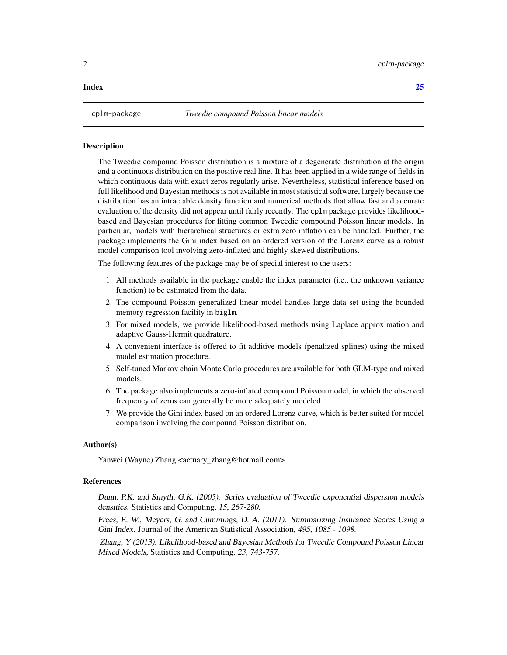#### <span id="page-1-0"></span>**Index** [25](#page-24-0)

#### **Description**

The Tweedie compound Poisson distribution is a mixture of a degenerate distribution at the origin and a continuous distribution on the positive real line. It has been applied in a wide range of fields in which continuous data with exact zeros regularly arise. Nevertheless, statistical inference based on full likelihood and Bayesian methods is not available in most statistical software, largely because the distribution has an intractable density function and numerical methods that allow fast and accurate evaluation of the density did not appear until fairly recently. The cplm package provides likelihoodbased and Bayesian procedures for fitting common Tweedie compound Poisson linear models. In particular, models with hierarchical structures or extra zero inflation can be handled. Further, the package implements the Gini index based on an ordered version of the Lorenz curve as a robust model comparison tool involving zero-inflated and highly skewed distributions.

The following features of the package may be of special interest to the users:

- 1. All methods available in the package enable the index parameter (i.e., the unknown variance function) to be estimated from the data.
- 2. The compound Poisson generalized linear model handles large data set using the bounded memory regression facility in biglm.
- 3. For mixed models, we provide likelihood-based methods using Laplace approximation and adaptive Gauss-Hermit quadrature.
- 4. A convenient interface is offered to fit additive models (penalized splines) using the mixed model estimation procedure.
- 5. Self-tuned Markov chain Monte Carlo procedures are available for both GLM-type and mixed models.
- 6. The package also implements a zero-inflated compound Poisson model, in which the observed frequency of zeros can generally be more adequately modeled.
- 7. We provide the Gini index based on an ordered Lorenz curve, which is better suited for model comparison involving the compound Poisson distribution.

#### Author(s)

Yanwei (Wayne) Zhang <actuary\_zhang@hotmail.com>

#### References

Dunn, P.K. and Smyth, G.K. (2005). Series evaluation of Tweedie exponential dispersion models densities. Statistics and Computing, 15, 267-280.

Frees, E. W., Meyers, G. and Cummings, D. A. (2011). Summarizing Insurance Scores Using a Gini Index. Journal of the American Statistical Association, 495, 1085 - 1098.

Zhang, Y (2013). Likelihood-based and Bayesian Methods for Tweedie Compound Poisson Linear Mixed Models, Statistics and Computing, 23, 743-757.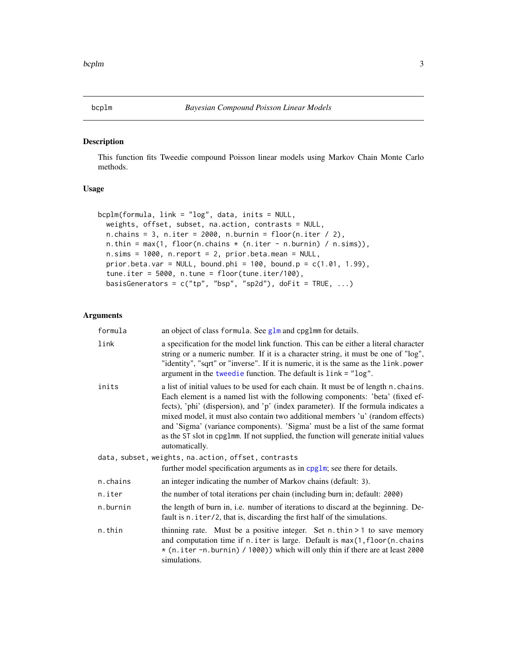<span id="page-2-1"></span><span id="page-2-0"></span>

#### Description

This function fits Tweedie compound Poisson linear models using Markov Chain Monte Carlo methods.

# Usage

```
bcplm(formula, link = "log", data, inits = NULL,
 weights, offset, subset, na.action, contrasts = NULL,
 n.chains = 3, n.iter = 2000, n.burnin = floor(n.iter / 2),
 n.thin = max(1, floor(n.chains * (n.iter - n.burnin) / n.sims)),
 n.sims = 1000, n.report = 2, prior.beta.mean = NULL,
 prior.beta.var = NULL, bound.phi = 100, bound.p = c(1.01, 1.99),
  tune.iter = 5000, n.tune = floor(tune.iter/100),
 basisGenerators = c("tp", "bsp", "sp2d"), doFit = TRUE, ...)
```

| formula  | an object of class formula. See glm and cpglmm for details.                                                                                                                                                                                                                                                                                                                                                                                                                                                                          |
|----------|--------------------------------------------------------------------------------------------------------------------------------------------------------------------------------------------------------------------------------------------------------------------------------------------------------------------------------------------------------------------------------------------------------------------------------------------------------------------------------------------------------------------------------------|
| link     | a specification for the model link function. This can be either a literal character<br>string or a numeric number. If it is a character string, it must be one of "log",<br>"identity", "sqrt" or "inverse". If it is numeric, it is the same as the link.power<br>argument in the tweedie function. The default is link = "log".                                                                                                                                                                                                    |
| inits    | a list of initial values to be used for each chain. It must be of length n. chains.<br>Each element is a named list with the following components: 'beta' (fixed ef-<br>fects), 'phi' (dispersion), and 'p' (index parameter). If the formula indicates a<br>mixed model, it must also contain two additional members 'u' (random effects)<br>and 'Sigma' (variance components). 'Sigma' must be a list of the same format<br>as the ST slot in cpg1mm. If not supplied, the function will generate initial values<br>automatically. |
|          | data, subset, weights, na.action, offset, contrasts                                                                                                                                                                                                                                                                                                                                                                                                                                                                                  |
|          | further model specification arguments as in cpglm; see there for details.                                                                                                                                                                                                                                                                                                                                                                                                                                                            |
| n.chains | an integer indicating the number of Markov chains (default: 3).                                                                                                                                                                                                                                                                                                                                                                                                                                                                      |
| n.iter   | the number of total iterations per chain (including burn in; default: 2000)                                                                                                                                                                                                                                                                                                                                                                                                                                                          |
| n.burnin | the length of burn in, i.e. number of iterations to discard at the beginning. De-<br>fault is n. iter/2, that is, discarding the first half of the simulations.                                                                                                                                                                                                                                                                                                                                                                      |
| n.thin   | thinning rate. Must be a positive integer. Set $n$ . thin $> 1$ to save memory<br>and computation time if n. iter is large. Default is max(1, floor(n. chains<br>* (n.iter -n.burnin) / 1000)) which will only thin if there are at least 2000<br>simulations.                                                                                                                                                                                                                                                                       |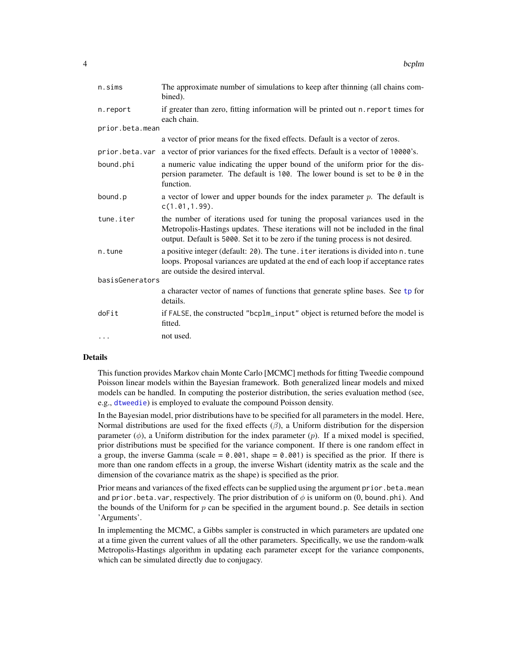<span id="page-3-0"></span>

| n.sims          | The approximate number of simulations to keep after thinning (all chains com-<br>bined).                                                                                                                                                           |  |
|-----------------|----------------------------------------------------------------------------------------------------------------------------------------------------------------------------------------------------------------------------------------------------|--|
| n.report        | if greater than zero, fitting information will be printed out n. report times for<br>each chain.                                                                                                                                                   |  |
| prior.beta.mean |                                                                                                                                                                                                                                                    |  |
|                 | a vector of prior means for the fixed effects. Default is a vector of zeros.                                                                                                                                                                       |  |
| prior.beta.var  | a vector of prior variances for the fixed effects. Default is a vector of 10000's.                                                                                                                                                                 |  |
| bound.phi       | a numeric value indicating the upper bound of the uniform prior for the dis-<br>persion parameter. The default is 100. The lower bound is set to be $\theta$ in the<br>function.                                                                   |  |
| bound.p         | a vector of lower and upper bounds for the index parameter $p$ . The default is<br>c(1.01, 1.99).                                                                                                                                                  |  |
| tune.iter       | the number of iterations used for tuning the proposal variances used in the<br>Metropolis-Hastings updates. These iterations will not be included in the final<br>output. Default is 5000. Set it to be zero if the tuning process is not desired. |  |
| n.tune          | a positive integer (default: 20). The tune . i ter iterations is divided into n. tune<br>loops. Proposal variances are updated at the end of each loop if acceptance rates<br>are outside the desired interval.                                    |  |
| basisGenerators |                                                                                                                                                                                                                                                    |  |
|                 | a character vector of names of functions that generate spline bases. See tp for<br>details.                                                                                                                                                        |  |
| doFit           | if FALSE, the constructed "bcplm_input" object is returned before the model is<br>fitted.                                                                                                                                                          |  |
| $\cdots$        | not used.                                                                                                                                                                                                                                          |  |

#### Details

This function provides Markov chain Monte Carlo [MCMC] methods for fitting Tweedie compound Poisson linear models within the Bayesian framework. Both generalized linear models and mixed models can be handled. In computing the posterior distribution, the series evaluation method (see, e.g., [dtweedie](#page-0-0)) is employed to evaluate the compound Poisson density.

In the Bayesian model, prior distributions have to be specified for all parameters in the model. Here, Normal distributions are used for the fixed effects  $(\beta)$ , a Uniform distribution for the dispersion parameter  $(\phi)$ , a Uniform distribution for the index parameter  $(p)$ . If a mixed model is specified, prior distributions must be specified for the variance component. If there is one random effect in a group, the inverse Gamma (scale =  $0.001$ , shape =  $0.001$ ) is specified as the prior. If there is more than one random effects in a group, the inverse Wishart (identity matrix as the scale and the dimension of the covariance matrix as the shape) is specified as the prior.

Prior means and variances of the fixed effects can be supplied using the argument prior.beta.mean and prior. beta. var, respectively. The prior distribution of  $\phi$  is uniform on (0, bound.phi). And the bounds of the Uniform for  $p$  can be specified in the argument bound.  $p$ . See details in section 'Arguments'.

In implementing the MCMC, a Gibbs sampler is constructed in which parameters are updated one at a time given the current values of all the other parameters. Specifically, we use the random-walk Metropolis-Hastings algorithm in updating each parameter except for the variance components, which can be simulated directly due to conjugacy.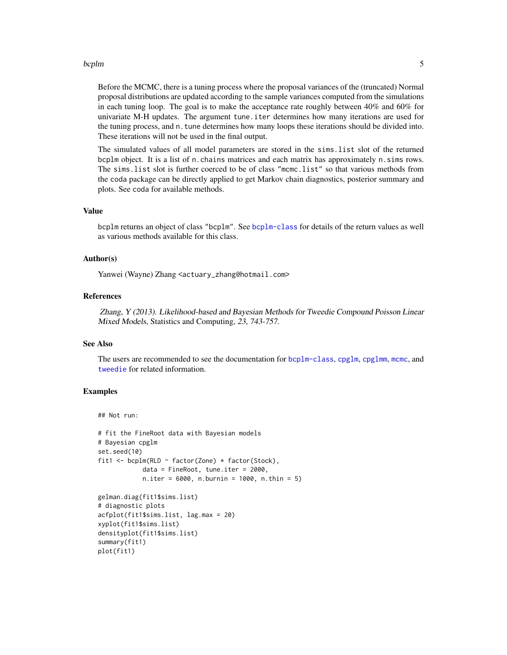#### <span id="page-4-0"></span>bcplm 5

Before the MCMC, there is a tuning process where the proposal variances of the (truncated) Normal proposal distributions are updated according to the sample variances computed from the simulations in each tuning loop. The goal is to make the acceptance rate roughly between  $40\%$  and  $60\%$  for univariate M-H updates. The argument tune.iter determines how many iterations are used for the tuning process, and n.tune determines how many loops these iterations should be divided into. These iterations will not be used in the final output.

The simulated values of all model parameters are stored in the sims.list slot of the returned bcplm object. It is a list of n.chains matrices and each matrix has approximately n.sims rows. The sims.list slot is further coerced to be of class "mcmc.list" so that various methods from the coda package can be directly applied to get Markov chain diagnostics, posterior summary and plots. See coda for available methods.

#### Value

bcplm returns an object of class "bcplm". See [bcplm-class](#page-5-1) for details of the return values as well as various methods available for this class.

# Author(s)

Yanwei (Wayne) Zhang <actuary\_zhang@hotmail.com>

#### References

Zhang, Y (2013). Likelihood-based and Bayesian Methods for Tweedie Compound Poisson Linear Mixed Models, Statistics and Computing, 23, 743-757.

#### See Also

The users are recommended to see the documentation for [bcplm-class](#page-5-1), [cpglm](#page-11-1), [cpglmm](#page-13-1), [mcmc](#page-0-0), and [tweedie](#page-0-0) for related information.

### Examples

```
## Not run:
```
densityplot(fit1\$sims.list)

summary(fit1) plot(fit1)

```
# fit the FineRoot data with Bayesian models
# Bayesian cpglm
set.seed(10)
fit1 <- bcplm(RLD ~ factor(Zone) * factor(Stock),
            data = FineRoot, tune.iter = 2000,
            n.iter = 6000, n.burnin = 1000, n.thin = 5)
gelman.diag(fit1$sims.list)
# diagnostic plots
acfplot(fit1$sims.list, lag.max = 20)
xyplot(fit1$sims.list)
```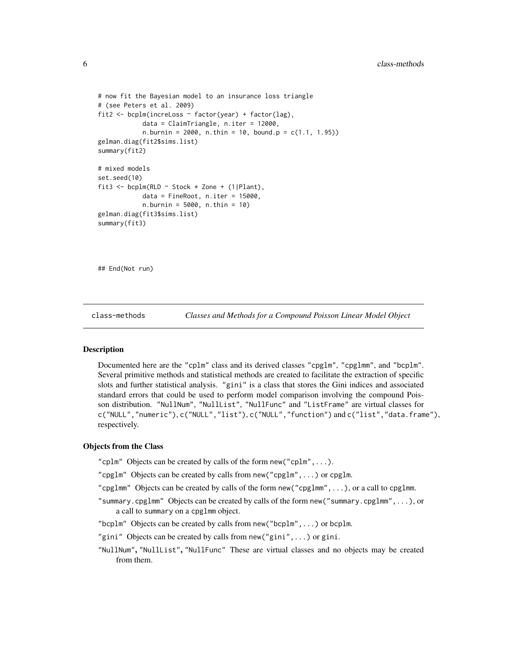```
# now fit the Bayesian model to an insurance loss triangle
# (see Peters et al. 2009)
fit2 <- bcplm(increLoss \sim factor(year) + factor(lag),
            data = ClaimTriangle, n.iter = 12000,
            n.burnin = 2000, n.thin = 10, bound.p = c(1.1, 1.95))
gelman.diag(fit2$sims.list)
summary(fit2)
# mixed models
set.seed(10)
fit3 <- bcplm(RLD ~ Stock * Zone + (1|Plant),
            data = FineRoot, n.iter = 15000,n.burnin = 5000, n.thin = 10)
gelman.diag(fit3$sims.list)
summary(fit3)
```
## End(Not run)

class-methods *Classes and Methods for a Compound Poisson Linear Model Object*

# <span id="page-5-1"></span>**Description**

Documented here are the "cplm" class and its derived classes "cpglm", "cpglmm", and "bcplm". Several primitive methods and statistical methods are created to facilitate the extraction of specific slots and further statistical analysis. "gini" is a class that stores the Gini indices and associated standard errors that could be used to perform model comparison involving the compound Poisson distribution. "NullNum", "NullList", "NullFunc" and "ListFrame" are virtual classes for c("NULL","numeric"), c("NULL","list"), c("NULL","function") and c("list","data.frame"), respectively.

#### Objects from the Class

- "cplm" Objects can be created by calls of the form  $new("cplm", \ldots)$ .
- "cpglm" Objects can be created by calls from new("cpglm",...) or cpglm.
- "cpglmm" Objects can be created by calls of the form new("cpglmm",...), or a call to cpglmm.
- "summary.cpglmm" Objects can be created by calls of the form new("summary.cpglmm",...), or a call to summary on a cpglmm object.
- "bcplm" Objects can be created by calls from new("bcplm",...) or bcplm.
- "gini" Objects can be created by calls from new("gini",...) or gini.
- "NullNum", "NullList", "NullFunc" These are virtual classes and no objects may be created from them.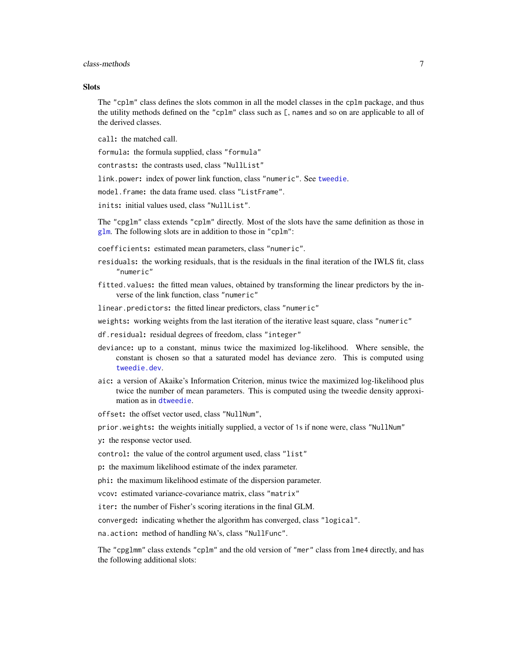#### <span id="page-6-0"></span>class-methods 7

#### **Slots**

The "cplm" class defines the slots common in all the model classes in the cplm package, and thus the utility methods defined on the "cplm" class such as [, names and so on are applicable to all of the derived classes.

call: the matched call.

formula: the formula supplied, class "formula"

contrasts: the contrasts used, class "NullList"

link.power: index of power link function, class "numeric". See [tweedie](#page-0-0).

model.frame: the data frame used. class "ListFrame".

inits: initial values used, class "NullList".

The "cpglm" class extends "cplm" directly. Most of the slots have the same definition as those in [glm](#page-0-0). The following slots are in addition to those in "cplm":

- coefficients: estimated mean parameters, class "numeric".
- residuals: the working residuals, that is the residuals in the final iteration of the IWLS fit, class "numeric"
- fitted.values: the fitted mean values, obtained by transforming the linear predictors by the inverse of the link function, class "numeric"

linear.predictors: the fitted linear predictors, class "numeric"

- weights: working weights from the last iteration of the iterative least square, class "numeric"
- df.residual: residual degrees of freedom, class "integer"
- deviance: up to a constant, minus twice the maximized log-likelihood. Where sensible, the constant is chosen so that a saturated model has deviance zero. This is computed using [tweedie.dev](#page-0-0).
- aic: a version of Akaike's Information Criterion, minus twice the maximized log-likelihood plus twice the number of mean parameters. This is computed using the tweedie density approximation as in [dtweedie](#page-0-0).
- offset: the offset vector used, class "NullNum",
- prior.weights: the weights initially supplied, a vector of 1s if none were, class "NullNum"
- y: the response vector used.
- control: the value of the control argument used, class "list"
- p: the maximum likelihood estimate of the index parameter.
- phi: the maximum likelihood estimate of the dispersion parameter.
- vcov: estimated variance-covariance matrix, class "matrix"

iter: the number of Fisher's scoring iterations in the final GLM.

converged: indicating whether the algorithm has converged, class "logical".

na.action: method of handling NA's, class "NullFunc".

The "cpglmm" class extends "cplm" and the old version of "mer" class from lme4 directly, and has the following additional slots: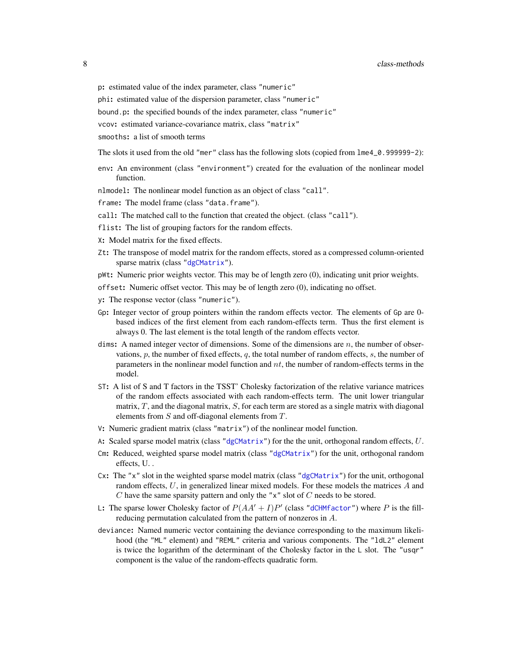<span id="page-7-0"></span>p: estimated value of the index parameter, class "numeric"

phi: estimated value of the dispersion parameter, class "numeric"

bound.p: the specified bounds of the index parameter, class "numeric"

vcov: estimated variance-covariance matrix, class "matrix"

smooths: a list of smooth terms

The slots it used from the old "mer" class has the following slots (copied from lme4\_0.999999-2):

env: An environment (class "environment") created for the evaluation of the nonlinear model function.

nlmodel: The nonlinear model function as an object of class "call".

frame: The model frame (class "data.frame").

- call: The matched call to the function that created the object. (class "call").
- flist: The list of grouping factors for the random effects.
- X: Model matrix for the fixed effects.
- Zt: The transpose of model matrix for the random effects, stored as a compressed column-oriented sparse matrix (class ["dgCMatrix"](#page-0-0)).
- pWt: Numeric prior weights vector. This may be of length zero (0), indicating unit prior weights.
- offset: Numeric offset vector. This may be of length zero (0), indicating no offset.
- y: The response vector (class "numeric").
- Gp: Integer vector of group pointers within the random effects vector. The elements of Gp are 0 based indices of the first element from each random-effects term. Thus the first element is always 0. The last element is the total length of the random effects vector.
- dims: A named integer vector of dimensions. Some of the dimensions are  $n$ , the number of observations,  $p$ , the number of fixed effects,  $q$ , the total number of random effects,  $s$ , the number of parameters in the nonlinear model function and  $nt$ , the number of random-effects terms in the model.
- ST: A list of S and T factors in the TSST' Cholesky factorization of the relative variance matrices of the random effects associated with each random-effects term. The unit lower triangular matrix,  $T$ , and the diagonal matrix,  $S$ , for each term are stored as a single matrix with diagonal elements from  $S$  and off-diagonal elements from  $T$ .
- V: Numeric gradient matrix (class "matrix") of the nonlinear model function.
- A: Scaled sparse model matrix (class ["dgCMatrix"](#page-0-0)) for the the unit, orthogonal random effects,  $U$ .
- Cm: Reduced, weighted sparse model matrix (class ["dgCMatrix"](#page-0-0)) for the unit, orthogonal random effects, U. .
- $Cx:$  The "x" slot in the weighted sparse model matrix (class ["dgCMatrix"](#page-0-0)) for the unit, orthogonal random effects,  $U$ , in generalized linear mixed models. For these models the matrices  $A$  and  $C$  have the same sparsity pattern and only the "x" slot of  $C$  needs to be stored.
- L: The sparse lower Cholesky factor of  $P(A A' + I)P'$  (class ["dCHMfactor"](#page-0-0)) where P is the fillreducing permutation calculated from the pattern of nonzeros in A.
- deviance: Named numeric vector containing the deviance corresponding to the maximum likelihood (the "ML" element) and "REML" criteria and various components. The "ldL2" element is twice the logarithm of the determinant of the Cholesky factor in the  $\mathsf L$  slot. The "usqr" component is the value of the random-effects quadratic form.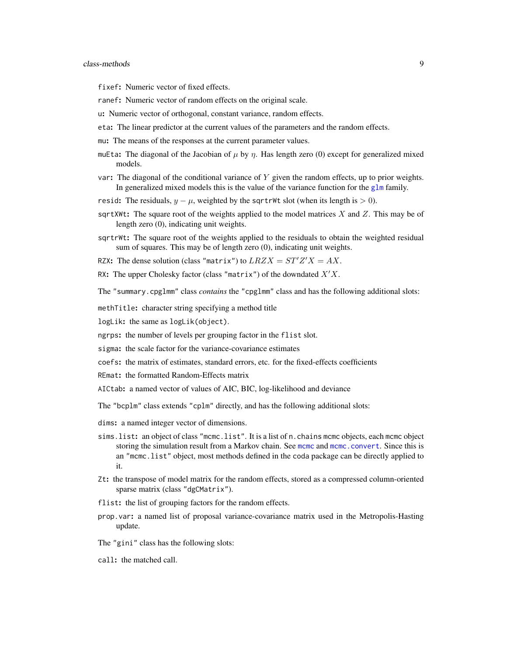<span id="page-8-0"></span>fixef: Numeric vector of fixed effects.

- ranef: Numeric vector of random effects on the original scale.
- u: Numeric vector of orthogonal, constant variance, random effects.
- eta: The linear predictor at the current values of the parameters and the random effects.
- mu: The means of the responses at the current parameter values.
- muEta: The diagonal of the Jacobian of  $\mu$  by  $\eta$ . Has length zero (0) except for generalized mixed models.
- var: The diagonal of the conditional variance of  $Y$  given the random effects, up to prior weights. In generalized mixed models this is the value of the variance function for the g $\ln \tan y$ .
- resid: The residuals,  $y \mu$ , weighted by the sqrtrWt slot (when its length is  $> 0$ ).
- sqrtXWt: The square root of the weights applied to the model matrices  $X$  and  $Z$ . This may be of length zero (0), indicating unit weights.
- sqrtrWt: The square root of the weights applied to the residuals to obtain the weighted residual sum of squares. This may be of length zero (0), indicating unit weights.

RZX: The dense solution (class "matrix") to  $LRZX = ST'Z'X = AX$ .

RX: The upper Cholesky factor (class "matrix") of the downdated  $X'X$ .

The "summary.cpglmm" class *contains* the "cpglmm" class and has the following additional slots:

methTitle: character string specifying a method title

logLik: the same as logLik(object).

ngrps: the number of levels per grouping factor in the flist slot.

- sigma: the scale factor for the variance-covariance estimates
- coefs: the matrix of estimates, standard errors, etc. for the fixed-effects coefficients
- REmat: the formatted Random-Effects matrix
- AICtab: a named vector of values of AIC, BIC, log-likelihood and deviance

The "bcplm" class extends "cplm" directly, and has the following additional slots:

- dims: a named integer vector of dimensions.
- sims.list: an object of class "mcmc.list". It is a list of n.chains mcmc objects, each mcmc object storing the simulation result from a Markov chain. See [mcmc](#page-0-0) and [mcmc.convert](#page-0-0). Since this is an "mcmc.list" object, most methods defined in the coda package can be directly applied to it.
- Zt: the transpose of model matrix for the random effects, stored as a compressed column-oriented sparse matrix (class "dgCMatrix").
- flist: the list of grouping factors for the random effects.
- prop.var: a named list of proposal variance-covariance matrix used in the Metropolis-Hasting update.

The "gini" class has the following slots:

call: the matched call.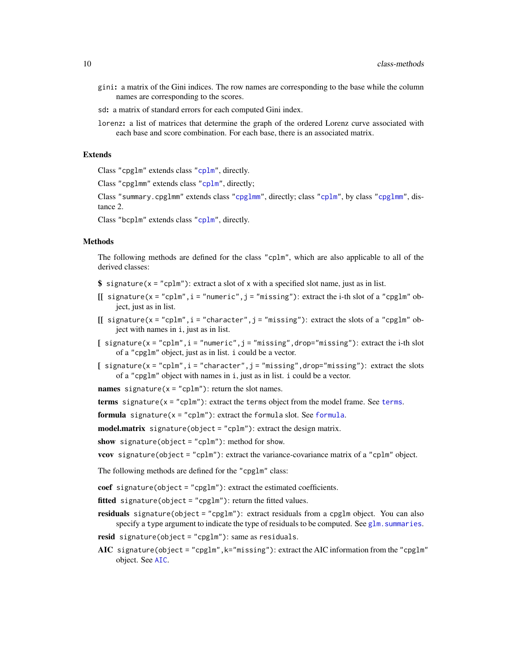- <span id="page-9-0"></span>gini: a matrix of the Gini indices. The row names are corresponding to the base while the column names are corresponding to the scores.
- sd: a matrix of standard errors for each computed Gini index.
- lorenz: a list of matrices that determine the graph of the ordered Lorenz curve associated with each base and score combination. For each base, there is an associated matrix.

#### Extends

Class "cpglm" extends class ["cplm"](#page-5-1), directly.

Class "cpglmm" extends class ["cplm"](#page-5-1), directly;

Class "summary.cpglmm" extends class ["cpglmm"](#page-5-1), directly; class ["cplm"](#page-5-1), by class ["cpglmm"](#page-5-1), distance 2.

Class "bcplm" extends class ["cplm"](#page-5-1), directly.

#### Methods

The following methods are defined for the class "cplm", which are also applicable to all of the derived classes:

- \$ signature( $x = "cplm")$ : extract a slot of x with a specified slot name, just as in list.
- $[[$  signature(x = "cplm", i = "numeric", j = "missing"): extract the i-th slot of a "cpglm" object, just as in list.
- [[  $signature(x = "cplm", i = "character", j = "missing");$  extract the slots of a "cpglm" object with names in i, just as in list.
- $\int$  signature(x = "cplm", i = "numeric", j = "missing", drop="missing"): extract the i-th slot of a "cpglm" object, just as in list. i could be a vector.
- [  $signature(x = "cplm", i = "character", j = "missing", drop='missing");$  extract the slots of a "cpglm" object with names in i, just as in list. i could be a vector.
- names signature( $x = "cplm"$ ): return the slot names.

[terms](#page-0-0) signature( $x = "cplm"$ ): extract the terms object from the model frame. See terms.

[formula](#page-0-0) signature( $x = "cplm")$ : extract the formula slot. See formula.

model.matrix signature(object = "cplm"): extract the design matrix.

show signature(object = "cplm"): method for show.

vcov signature(object = "cplm"): extract the variance-covariance matrix of a "cplm" object.

The following methods are defined for the "cpglm" class:

coef signature(object = "cpglm"): extract the estimated coefficients.

fitted signature(object = "cpglm"): return the fitted values.

- residuals signature(object = "cpglm"): extract residuals from a cpglm object. You can also specify a type argument to indicate the type of residuals to be computed. See glm. summaries.
- resid signature(object = "cpglm"): same as residuals.
- AIC signature(object = "cpglm",  $k=$ "missing"): extract the AIC information from the "cpglm" object. See [AIC](#page-0-0).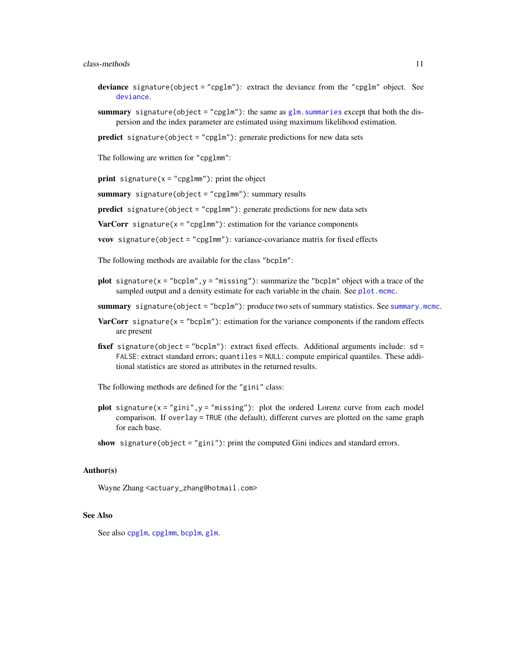#### <span id="page-10-0"></span>class-methods 11

- deviance signature(object = "cpglm"): extract the deviance from the "cpglm" object. See [deviance](#page-0-0).
- summary signature(object = "cpglm"): the same as  $glm$ . summaries except that both the dispersion and the index parameter are estimated using maximum likelihood estimation.

predict signature(object = "cpglm"): generate predictions for new data sets

The following are written for "cpglmm":

**print** signature( $x =$ "cpglmm"): print the object

summary signature(object = "cpglmm"): summary results

predict signature(object = "cpglmm"): generate predictions for new data sets

**VarCorr** signature( $x = "cpglmm")$ : estimation for the variance components

vcov signature(object = "cpglmm"): variance-covariance matrix for fixed effects

The following methods are available for the class "bcplm":

- plot signature( $x =$  "bcplm",  $y =$  "missing"): summarize the "bcplm" object with a trace of the sampled output and a density estimate for each variable in the chain. See [plot.mcmc](#page-0-0).
- summary signature(object = "bcplm"): produce two sets of summary statistics. See [summary.mcmc](#page-0-0).
- **VarCorr** signature( $x =$  "bcplm"): estimation for the variance components if the random effects are present
- fixef signature(object = "bcplm"): extract fixed effects. Additional arguments include:  $sd =$ FALSE: extract standard errors; quantiles = NULL: compute empirical quantiles. These additional statistics are stored as attributes in the returned results.

The following methods are defined for the "gini" class:

plot signature( $x =$ "gini", $y =$ "missing"): plot the ordered Lorenz curve from each model comparison. If overlay = TRUE (the default), different curves are plotted on the same graph for each base.

show signature(object = "gini"): print the computed Gini indices and standard errors.

#### Author(s)

Wayne Zhang <actuary\_zhang@hotmail.com>

#### See Also

See also [cpglm](#page-11-1), [cpglmm](#page-13-1), [bcplm](#page-2-1), [glm](#page-0-0).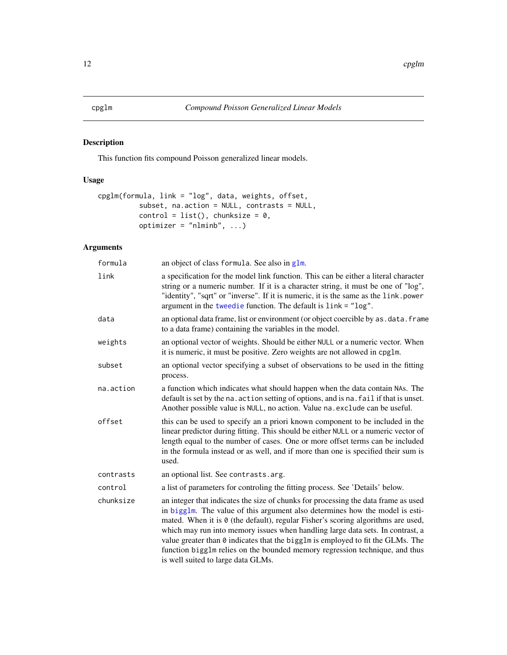# <span id="page-11-1"></span><span id="page-11-0"></span>Description

This function fits compound Poisson generalized linear models.

# Usage

```
cpglm(formula, link = "log", data, weights, offset,
         subset, na.action = NULL, contrasts = NULL,
         control = list(), chunksize = 0,optimize r = "nlminb", ...
```

| formula   | an object of class formula. See also in glm.                                                                                                                                                                                                                                                                                                                                                                                                                                                                                                     |
|-----------|--------------------------------------------------------------------------------------------------------------------------------------------------------------------------------------------------------------------------------------------------------------------------------------------------------------------------------------------------------------------------------------------------------------------------------------------------------------------------------------------------------------------------------------------------|
| link      | a specification for the model link function. This can be either a literal character<br>string or a numeric number. If it is a character string, it must be one of "log",<br>"identity", "sqrt" or "inverse". If it is numeric, it is the same as the link.power<br>argument in the tweedie function. The default is link = "log".                                                                                                                                                                                                                |
| data      | an optional data frame, list or environment (or object coercible by as . data. frame<br>to a data frame) containing the variables in the model.                                                                                                                                                                                                                                                                                                                                                                                                  |
| weights   | an optional vector of weights. Should be either NULL or a numeric vector. When<br>it is numeric, it must be positive. Zero weights are not allowed in cpg1m.                                                                                                                                                                                                                                                                                                                                                                                     |
| subset    | an optional vector specifying a subset of observations to be used in the fitting<br>process.                                                                                                                                                                                                                                                                                                                                                                                                                                                     |
| na.action | a function which indicates what should happen when the data contain NAs. The<br>default is set by the na. action setting of options, and is na. fail if that is unset.<br>Another possible value is NULL, no action. Value na. exclude can be useful.                                                                                                                                                                                                                                                                                            |
| offset    | this can be used to specify an a priori known component to be included in the<br>linear predictor during fitting. This should be either NULL or a numeric vector of<br>length equal to the number of cases. One or more offset terms can be included<br>in the formula instead or as well, and if more than one is specified their sum is<br>used.                                                                                                                                                                                               |
| contrasts | an optional list. See contrasts. arg.                                                                                                                                                                                                                                                                                                                                                                                                                                                                                                            |
| control   | a list of parameters for controling the fitting process. See 'Details' below.                                                                                                                                                                                                                                                                                                                                                                                                                                                                    |
| chunksize | an integer that indicates the size of chunks for processing the data frame as used<br>in bigglm. The value of this argument also determines how the model is esti-<br>mated. When it is 0 (the default), regular Fisher's scoring algorithms are used,<br>which may run into memory issues when handling large data sets. In contrast, a<br>value greater than 0 indicates that the bigglm is employed to fit the GLMs. The<br>function bigg1m relies on the bounded memory regression technique, and thus<br>is well suited to large data GLMs. |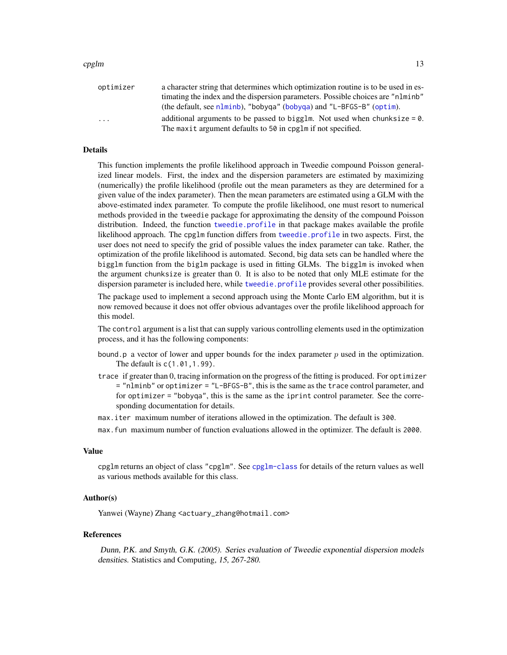<span id="page-12-0"></span>

| optimizer               | a character string that determines which optimization routine is to be used in es- |
|-------------------------|------------------------------------------------------------------------------------|
|                         | timating the index and the dispersion parameters. Possible choices are "nlminb"    |
|                         | (the default, see nlminb), "bobyga" (bobyga) and "L-BFGS-B" (optim).               |
| $\cdot$ $\cdot$ $\cdot$ | additional arguments to be passed to bigglm. Not used when chunksize $= 0$ .       |
|                         | The maxit argument defaults to 50 in cpglm if not specified.                       |

### Details

This function implements the profile likelihood approach in Tweedie compound Poisson generalized linear models. First, the index and the dispersion parameters are estimated by maximizing (numerically) the profile likelihood (profile out the mean parameters as they are determined for a given value of the index parameter). Then the mean parameters are estimated using a GLM with the above-estimated index parameter. To compute the profile likelihood, one must resort to numerical methods provided in the tweedie package for approximating the density of the compound Poisson distribution. Indeed, the function [tweedie.profile](#page-0-0) in that package makes available the profile likelihood approach. The cpglm function differs from [tweedie.profile](#page-0-0) in two aspects. First, the user does not need to specify the grid of possible values the index parameter can take. Rather, the optimization of the profile likelihood is automated. Second, big data sets can be handled where the bigglm function from the biglm package is used in fitting GLMs. The bigglm is invoked when the argument chunksize is greater than 0. It is also to be noted that only MLE estimate for the dispersion parameter is included here, while [tweedie.profile](#page-0-0) provides several other possibilities.

The package used to implement a second approach using the Monte Carlo EM algorithm, but it is now removed because it does not offer obvious advantages over the profile likelihood approach for this model.

The control argument is a list that can supply various controlling elements used in the optimization process, and it has the following components:

- bound.p a vector of lower and upper bounds for the index parameter  $p$  used in the optimization. The default is c(1.01,1.99).
- trace if greater than 0, tracing information on the progress of the fitting is produced. For optimizer = "nlminb" or optimizer = "L-BFGS-B", this is the same as the trace control parameter, and for optimizer = "bobyqa", this is the same as the iprint control parameter. See the corresponding documentation for details.
- max.iter maximum number of iterations allowed in the optimization. The default is 300.
- max.fun maximum number of function evaluations allowed in the optimizer. The default is 2000.

#### Value

cpglm returns an object of class "cpglm". See [cpglm-class](#page-5-1) for details of the return values as well as various methods available for this class.

#### Author(s)

Yanwei (Wayne) Zhang <actuary\_zhang@hotmail.com>

#### References

Dunn, P.K. and Smyth, G.K. (2005). Series evaluation of Tweedie exponential dispersion models densities. Statistics and Computing, 15, 267-280.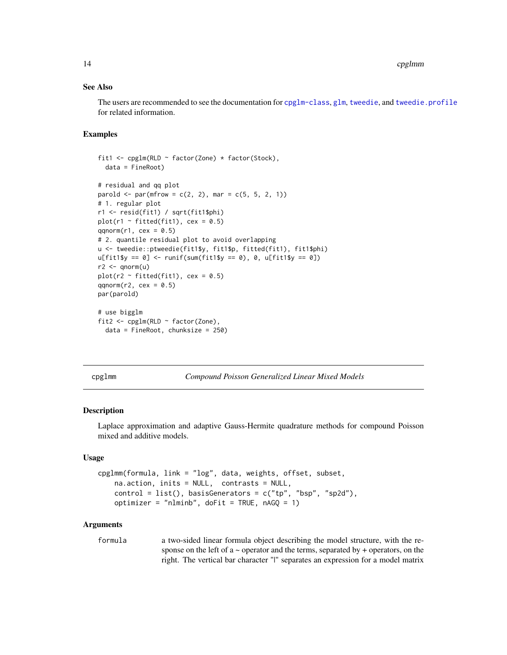#### <span id="page-13-0"></span>See Also

The users are recommended to see the documentation for [cpglm-class](#page-5-1), [glm](#page-0-0), [tweedie](#page-0-0), and [tweedie.profile](#page-0-0) for related information.

#### Examples

```
fit1 <- cpglm(RLD ~ factor(Zone) * factor(Stock),
  data = FineRoot)
# residual and qq plot
parold \le par(mfrow = c(2, 2), mar = c(5, 5, 2, 1))
# 1. regular plot
r1 <- resid(fit1) / sqrt(fit1$phi)
plot(r1 \sim fitted(fit1), cex = 0.5)
qqnorm(r1, cex = 0.5)# 2. quantile residual plot to avoid overlapping
u <- tweedie::ptweedie(fit1$y, fit1$p, fitted(fit1), fit1$phi)
u[fit1$y == 0] < -runif(sum(fit1$y == 0), 0, u[fit1$y == 0])r2 < - qnorm(u)
plot(r2 \sim fitted(fit1), cex = 0.5)
qqnorm(r2, cex = 0.5)par(parold)
# use bigglm
fit2 <- cpglm(RLD ~ factor(Zone),
  data = FineRoot, chunksize = 250)
```
cpglmm *Compound Poisson Generalized Linear Mixed Models*

#### **Description**

Laplace approximation and adaptive Gauss-Hermite quadrature methods for compound Poisson mixed and additive models.

#### Usage

```
cpglmm(formula, link = "log", data, weights, offset, subset,
   na.action, inits = NULL, contrasts = NULL,
   control = list(), basisGenerators = c("tp", "bsp", "sp2d"),
   optimizer = "nlminb", doFit = TRUE, nAGQ = 1)
```
#### **Arguments**

formula a two-sided linear formula object describing the model structure, with the response on the left of  $a \sim$  operator and the terms, separated by  $+$  operators, on the right. The vertical bar character "|" separates an expression for a model matrix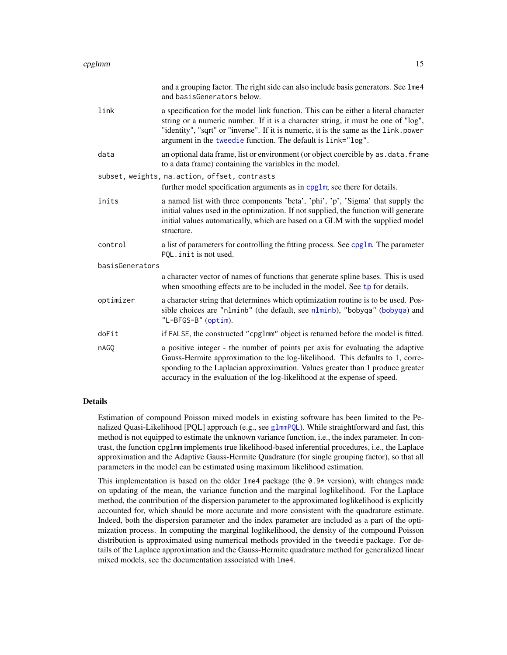<span id="page-14-0"></span>

|                 |           | and a grouping factor. The right side can also include basis generators. See lme4<br>and basisGenerators below.                                                                                                                                                                                                                 |
|-----------------|-----------|---------------------------------------------------------------------------------------------------------------------------------------------------------------------------------------------------------------------------------------------------------------------------------------------------------------------------------|
|                 | link      | a specification for the model link function. This can be either a literal character<br>string or a numeric number. If it is a character string, it must be one of "log",<br>"identity", "sqrt" or "inverse". If it is numeric, it is the same as the link.power<br>argument in the tweedie function. The default is link="log". |
|                 | data      | an optional data frame, list or environment (or object coercible by as . data. frame<br>to a data frame) containing the variables in the model.                                                                                                                                                                                 |
|                 |           | subset, weights, na.action, offset, contrasts<br>further model specification arguments as in cpglm; see there for details.                                                                                                                                                                                                      |
|                 | inits     | a named list with three components 'beta', 'phi', 'p', 'Sigma' that supply the<br>initial values used in the optimization. If not supplied, the function will generate<br>initial values automatically, which are based on a GLM with the supplied model<br>structure.                                                          |
|                 | control   | a list of parameters for controlling the fitting process. See cpg1m. The parameter<br>PQL. init is not used.                                                                                                                                                                                                                    |
| basisGenerators |           |                                                                                                                                                                                                                                                                                                                                 |
|                 |           | a character vector of names of functions that generate spline bases. This is used<br>when smoothing effects are to be included in the model. See tp for details.                                                                                                                                                                |
|                 | optimizer | a character string that determines which optimization routine is to be used. Pos-<br>sible choices are "nlminb" (the default, see nlminb), "bobyqa" (bobyqa) and<br>"L-BFGS-B" (optim).                                                                                                                                         |
|                 | doFit     | if FALSE, the constructed "cpg1mm" object is returned before the model is fitted.                                                                                                                                                                                                                                               |
|                 | nAGO      | a positive integer - the number of points per axis for evaluating the adaptive<br>Gauss-Hermite approximation to the log-likelihood. This defaults to 1, corre-<br>sponding to the Laplacian approximation. Values greater than 1 produce greater<br>accuracy in the evaluation of the log-likelihood at the expense of speed.  |

### Details

Estimation of compound Poisson mixed models in existing software has been limited to the Penalized Quasi-Likelihood [PQL] approach (e.g., see g1mmPQL). While straightforward and fast, this method is not equipped to estimate the unknown variance function, i.e., the index parameter. In contrast, the function cpglmm implements true likelihood-based inferential procedures, i.e., the Laplace approximation and the Adaptive Gauss-Hermite Quadrature (for single grouping factor), so that all parameters in the model can be estimated using maximum likelihood estimation.

This implementation is based on the older  $1 \text{me}4$  package (the 0.9\* version), with changes made on updating of the mean, the variance function and the marginal loglikelihood. For the Laplace method, the contribution of the dispersion parameter to the approximated loglikelihood is explicitly accounted for, which should be more accurate and more consistent with the quadrature estimate. Indeed, both the dispersion parameter and the index parameter are included as a part of the optimization process. In computing the marginal loglikelihood, the density of the compound Poisson distribution is approximated using numerical methods provided in the tweedie package. For details of the Laplace approximation and the Gauss-Hermite quadrature method for generalized linear mixed models, see the documentation associated with lme4.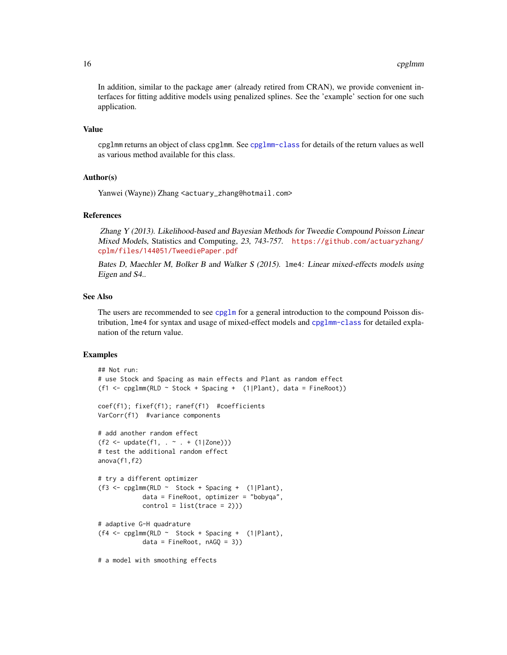<span id="page-15-0"></span>In addition, similar to the package amer (already retired from CRAN), we provide convenient interfaces for fitting additive models using penalized splines. See the 'example' section for one such application.

# Value

cpglmm returns an object of class cpglmm. See [cpglmm-class](#page-5-1) for details of the return values as well as various method available for this class.

# Author(s)

Yanwei (Wayne)) Zhang <actuary\_zhang@hotmail.com>

#### References

Zhang Y (2013). Likelihood-based and Bayesian Methods for Tweedie Compound Poisson Linear Mixed Models, Statistics and Computing, 23, 743-757. [https://github.com/actuaryzhang/](https://github.com/actuaryzhang/cplm/files/144051/TweediePaper.pdf) [cplm/files/144051/TweediePaper.pdf](https://github.com/actuaryzhang/cplm/files/144051/TweediePaper.pdf)

Bates D, Maechler M, Bolker B and Walker S (2015). lme4: Linear mixed-effects models using Eigen and S4..

#### See Also

The users are recommended to see [cpglm](#page-11-1) for a general introduction to the compound Poisson distribution, lme4 for syntax and usage of mixed-effect models and [cpglmm-class](#page-5-1) for detailed explanation of the return value.

# Examples

```
## Not run:
# use Stock and Spacing as main effects and Plant as random effect
(f1 <- cpglmm(RLD ~ Stock + Spacing + (1|Plant), data = FineRoot))
coef(f1); fixef(f1); ranef(f1) #coefficients
VarCorr(f1) #variance components
# add another random effect
(f2 \leq \text{update}(f1, . \leq . + (1|Zone)))# test the additional random effect
anova(f1,f2)
# try a different optimizer
(f3 \leq cpglmm(RLD \leq Stock + Spacing + (1|Plant)),data = FineRoot, optimizer = "bobyqa",
            control = list(true = 2)))# adaptive G-H quadrature
(f4 \leftarrow \text{cpglmm(RLD } \sim \text{Stock } + \text{Spacing } + (1|Plant),data = FineRoot, nAGQ = 3))
# a model with smoothing effects
```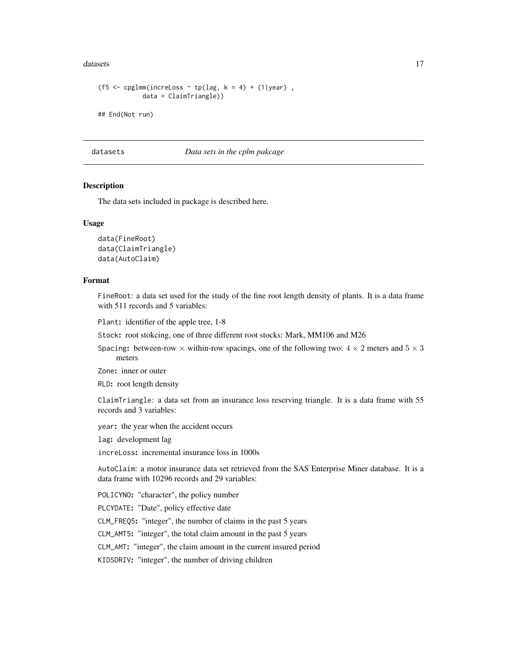#### <span id="page-16-0"></span>datasets and the contract of the contract of the contract of the contract of the contract of the contract of the contract of the contract of the contract of the contract of the contract of the contract of the contract of t

```
(f5 <- cpglmm(increLoss \sim tp(lag, k = 4) + (1|year),
            data = ClaimTriangle))
## End(Not run)
```
datasets *Data sets in the cplm pakcage*

# **Description**

The data sets included in package is described here.

#### Usage

data(FineRoot) data(ClaimTriangle) data(AutoClaim)

#### Format

FineRoot: a data set used for the study of the fine root length density of plants. It is a data frame with 511 records and 5 variables:

Plant: identifier of the apple tree, 1-8

Stock: root stokcing, one of three different root stocks: Mark, MM106 and M26

Spacing: between-row  $\times$  within-row spacings, one of the following two:  $4 \times 2$  meters and  $5 \times 3$ meters

Zone: inner or outer

RLD: root length density

ClaimTriangle: a data set from an insurance loss reserving triangle. It is a data frame with 55 records and 3 variables:

year: the year when the accident occurs

lag: development lag

increLoss: incremental insurance loss in 1000s

AutoClaim: a motor insurance data set retrieved from the SAS Enterprise Miner database. It is a data frame with 10296 records and 29 variables:

POLICYNO: "character", the policy number

PLCYDATE: "Date", policy effective date

CLM\_FREQ5: "integer", the number of claims in the past 5 years

CLM\_AMT5: "integer", the total claim amount in the past 5 years

CLM\_AMT: "integer", the claim amount in the current insured period

KIDSDRIV: "integer", the number of driving children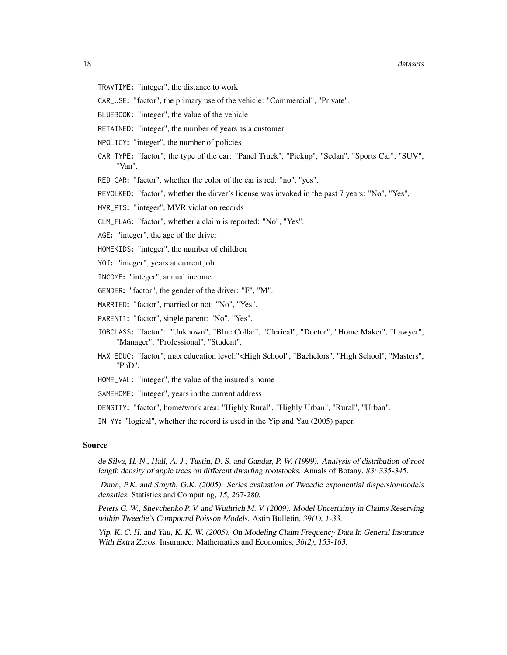#### 18 datasets and the contract of the contract of the contract of the contract of the contract of the contract of the contract of the contract of the contract of the contract of the contract of the contract of the contract o

- TRAVTIME: "integer", the distance to work
- CAR\_USE: "factor", the primary use of the vehicle: "Commercial", "Private".
- BLUEBOOK: "integer", the value of the vehicle
- RETAINED: "integer", the number of years as a customer
- NPOLICY: "integer", the number of policies
- CAR\_TYPE: "factor", the type of the car: "Panel Truck", "Pickup", "Sedan", "Sports Car", "SUV", "Van".
- RED\_CAR: "factor", whether the color of the car is red: "no", "yes".
- REVOLKED: "factor", whether the dirver's license was invoked in the past 7 years: "No", "Yes",
- MVR\_PTS: "integer", MVR violation records
- CLM\_FLAG: "factor", whether a claim is reported: "No", "Yes".
- AGE: "integer", the age of the driver
- HOMEKIDS: "integer", the number of children
- YOJ: "integer", years at current job
- INCOME: "integer", annual income
- GENDER: "factor", the gender of the driver: "F", "M".
- MARRIED: "factor", married or not: "No", "Yes".
- PARENT1: "factor", single parent: "No", "Yes".
- JOBCLASS: "factor": "Unknown", "Blue Collar", "Clerical", "Doctor", "Home Maker", "Lawyer", "Manager", "Professional", "Student".
- MAX\_EDUC: "factor", max education level:"<High School", "Bachelors", "High School", "Masters", "PhD".
- HOME\_VAL: "integer", the value of the insured's home
- SAMEHOME: "integer", years in the current address
- DENSITY: "factor", home/work area: "Highly Rural", "Highly Urban", "Rural", "Urban".
- IN\_YY: "logical", whether the record is used in the Yip and Yau (2005) paper.

#### Source

de Silva, H. N., Hall, A. J., Tustin, D. S. and Gandar, P. W. (1999). Analysis of distribution of root length density of apple trees on different dwarfing rootstocks. Annals of Botany, 83: 335-345.

Dunn, P.K. and Smyth, G.K. (2005). Series evaluation of Tweedie exponential dispersionmodels densities. Statistics and Computing, 15, 267-280.

Peters G. W., Shevchenko P. V. and Wuthrich M. V. (2009). Model Uncertainty in Claims Reserving within Tweedie's Compound Poisson Models. Astin Bulletin, 39(1), 1-33.

Yip, K. C. H. and Yau, K. K. W. (2005). On Modeling Claim Frequency Data In General Insurance With Extra Zeros. Insurance: Mathematics and Economics, 36(2), 153-163.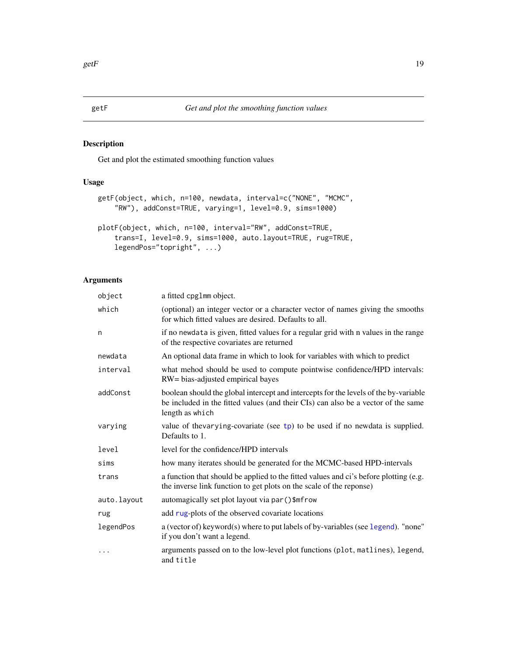# <span id="page-18-0"></span>Description

Get and plot the estimated smoothing function values

# Usage

```
getF(object, which, n=100, newdata, interval=c("NONE", "MCMC",
    "RW"), addConst=TRUE, varying=1, level=0.9, sims=1000)
plotF(object, which, n=100, interval="RW", addConst=TRUE,
    trans=I, level=0.9, sims=1000, auto.layout=TRUE, rug=TRUE,
    legendPos="topright", ...)
```

| object      | a fitted cpg1mm object.                                                                                                                                                                      |
|-------------|----------------------------------------------------------------------------------------------------------------------------------------------------------------------------------------------|
| which       | (optional) an integer vector or a character vector of names giving the smooths<br>for which fitted values are desired. Defaults to all.                                                      |
| n           | if no newdata is given, fitted values for a regular grid with n values in the range<br>of the respective covariates are returned                                                             |
| newdata     | An optional data frame in which to look for variables with which to predict                                                                                                                  |
| interval    | what mehod should be used to compute pointwise confidence/HPD intervals:<br>RW= bias-adjusted empirical bayes                                                                                |
| addConst    | boolean should the global intercept and intercepts for the levels of the by-variable<br>be included in the fitted values (and their CIs) can also be a vector of the same<br>length as which |
| varying     | value of the varying-covariate (see $tp$ ) to be used if no newdata is supplied.<br>Defaults to 1.                                                                                           |
| level       | level for the confidence/HPD intervals                                                                                                                                                       |
| sims        | how many iterates should be generated for the MCMC-based HPD-intervals                                                                                                                       |
| trans       | a function that should be applied to the fitted values and ci's before plotting (e.g.<br>the inverse link function to get plots on the scale of the reponse)                                 |
| auto.layout | automagically set plot layout via par ()\$mfrow                                                                                                                                              |
| rug         | add rug-plots of the observed covariate locations                                                                                                                                            |
| legendPos   | a (vector of) keyword(s) where to put labels of by-variables (see legend). "none"<br>if you don't want a legend.                                                                             |
| .           | arguments passed on to the low-level plot functions (plot, matlines), legend,<br>and title                                                                                                   |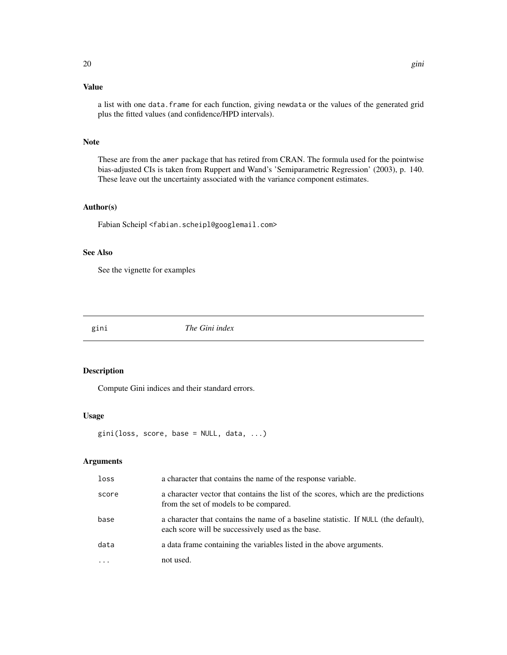# <span id="page-19-0"></span>Value

a list with one data. frame for each function, giving newdata or the values of the generated grid plus the fitted values (and confidence/HPD intervals).

# Note

These are from the amer package that has retired from CRAN. The formula used for the pointwise bias-adjusted CIs is taken from Ruppert and Wand's 'Semiparametric Regression' (2003), p. 140. These leave out the uncertainty associated with the variance component estimates.

#### Author(s)

Fabian Scheipl <fabian.scheipl@googlemail.com>

# See Also

See the vignette for examples

gini *The Gini index*

#### Description

Compute Gini indices and their standard errors.

#### Usage

```
gini(loss, score, base = NULL, data, ...)
```

| loss  | a character that contains the name of the response variable.                                                                            |
|-------|-----------------------------------------------------------------------------------------------------------------------------------------|
| score | a character vector that contains the list of the scores, which are the predictions<br>from the set of models to be compared.            |
| base  | a character that contains the name of a baseline statistic. If NULL (the default),<br>each score will be successively used as the base. |
| data  | a data frame containing the variables listed in the above arguments.                                                                    |
|       | not used.                                                                                                                               |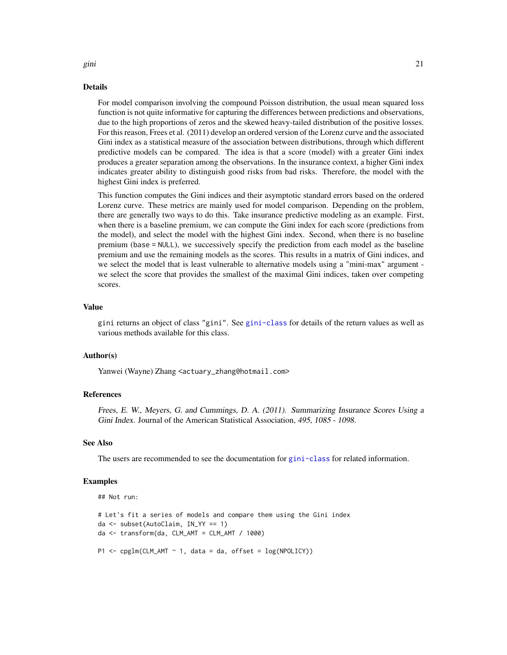#### Details

For model comparison involving the compound Poisson distribution, the usual mean squared loss function is not quite informative for capturing the differences between predictions and observations, due to the high proportions of zeros and the skewed heavy-tailed distribution of the positive losses. For this reason, Frees et al. (2011) develop an ordered version of the Lorenz curve and the associated Gini index as a statistical measure of the association between distributions, through which different predictive models can be compared. The idea is that a score (model) with a greater Gini index produces a greater separation among the observations. In the insurance context, a higher Gini index indicates greater ability to distinguish good risks from bad risks. Therefore, the model with the highest Gini index is preferred.

This function computes the Gini indices and their asymptotic standard errors based on the ordered Lorenz curve. These metrics are mainly used for model comparison. Depending on the problem, there are generally two ways to do this. Take insurance predictive modeling as an example. First, when there is a baseline premium, we can compute the Gini index for each score (predictions from the model), and select the model with the highest Gini index. Second, when there is no baseline premium (base = NULL), we successively specify the prediction from each model as the baseline premium and use the remaining models as the scores. This results in a matrix of Gini indices, and we select the model that is least vulnerable to alternative models using a "mini-max" argument we select the score that provides the smallest of the maximal Gini indices, taken over competing scores.

#### Value

gini returns an object of class "gini". See [gini-class](#page-5-1) for details of the return values as well as various methods available for this class.

#### Author(s)

Yanwei (Wayne) Zhang <actuary\_zhang@hotmail.com>

#### References

Frees, E. W., Meyers, G. and Cummings, D. A. (2011). Summarizing Insurance Scores Using a Gini Index. Journal of the American Statistical Association, 495, 1085 - 1098.

#### See Also

The users are recommended to see the documentation for [gini-class](#page-5-1) for related information.

#### Examples

```
## Not run:
```

```
# Let's fit a series of models and compare them using the Gini index
da <- subset(AutoClaim, IN_YY == 1)
da \leq -\text{transform}(da, CLM\_AMT = CLM\_AMT / 1000)P1 \leq cpglm(CLM_AMT \sim 1, data = da, offset = log(NPOLICY))
```
gini 21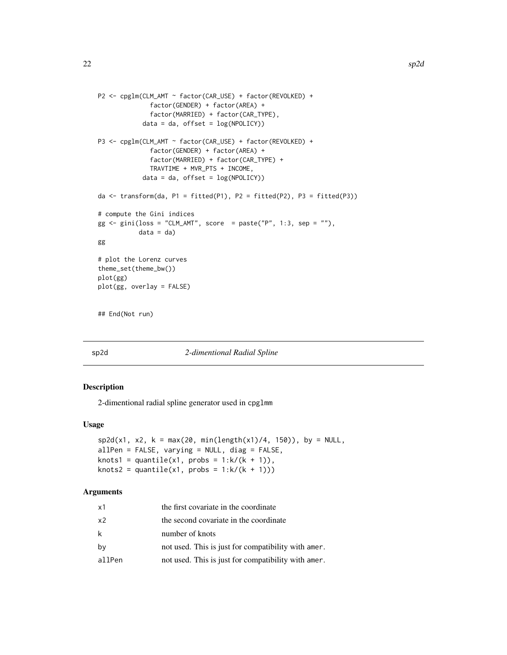```
P2 <- cpglm(CLM_AMT ~ factor(CAR_USE) + factor(REVOLKED) +
              factor(GENDER) + factor(AREA) +
              factor(MARRIED) + factor(CAR_TYPE),
            data = da, offset = log(NPOLICY))
P3 <- cpglm(CLM_AMT ~ factor(CAR_USE) + factor(REVOLKED) +
              factor(GENDER) + factor(AREA) +
              factor(MARRIED) + factor(CAR_TYPE) +
              TRAVTIME + MVR_PTS + INCOME,
            data = da, offset = log(NPOLICY))
da \le transform(da, P1 = fitted(P1), P2 = fitted(P2), P3 = fitted(P3))
# compute the Gini indices
gg \le gini(loss = "CLM_AMT", score = paste("P", 1:3, sep = ""),
           data = da)gg
# plot the Lorenz curves
theme_set(theme_bw())
plot(gg)
plot(gg, overlay = FALSE)
## End(Not run)
```
#### sp2d *2-dimentional Radial Spline*

# Description

2-dimentional radial spline generator used in cpglmm

# Usage

```
sp2d(x1, x2, k = max(20, min(length(x1)/4, 150)), by = NULL,
allPen = FALSE, varying = NULL, diag = FALSE,
knots1 = quantile(x1, probs = 1:k/(k + 1)),
knots2 = quantile(x1, probs = 1:k/(k + 1)))
```

| x1     | the first covariate in the coordinate               |
|--------|-----------------------------------------------------|
| x2     | the second covariate in the coordinate              |
| k      | number of knots                                     |
| by     | not used. This is just for compatibility with amer. |
| allPen | not used. This is just for compatibility with amer. |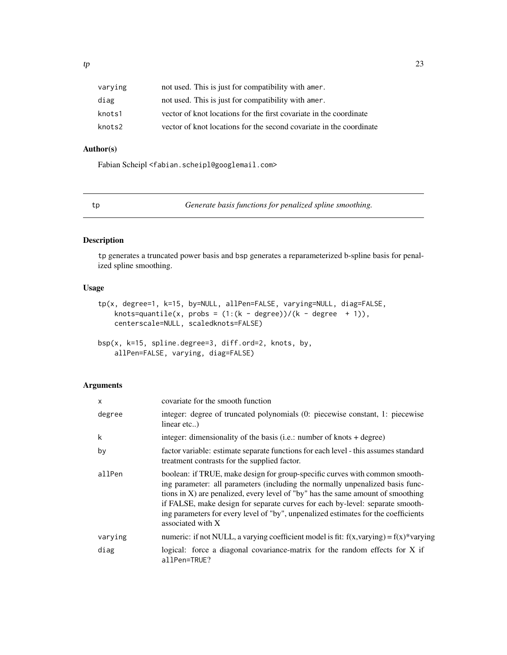<span id="page-22-0"></span>

| varying | not used. This is just for compatibility with amer.                 |
|---------|---------------------------------------------------------------------|
| diag    | not used. This is just for compatibility with amer.                 |
| knots1  | vector of knot locations for the first covariate in the coordinate  |
| knots2  | vector of knot locations for the second covariate in the coordinate |

# Author(s)

Fabian Scheipl <fabian.scheipl@googlemail.com>

<span id="page-22-1"></span>tp *Generate basis functions for penalized spline smoothing.*

# Description

tp generates a truncated power basis and bsp generates a reparameterized b-spline basis for penalized spline smoothing.

# Usage

```
tp(x, degree=1, k=15, by=NULL, allPen=FALSE, varying=NULL, diag=FALSE,
   knots=quantile(x, probs = (1:(k - degree))/(k - degree + 1)),centerscale=NULL, scaledknots=FALSE)
```

```
bsp(x, k=15, spline.degree=3, diff.ord=2, knots, by,
    allPen=FALSE, varying, diag=FALSE)
```

| $\times$ | covariate for the smooth function                                                                                                                                                                                                                                                                                                                                                                                                           |
|----------|---------------------------------------------------------------------------------------------------------------------------------------------------------------------------------------------------------------------------------------------------------------------------------------------------------------------------------------------------------------------------------------------------------------------------------------------|
| degree   | integer: degree of truncated polynomials (0: piecewise constant, 1: piecewise<br>linear etc)                                                                                                                                                                                                                                                                                                                                                |
| k        | integer: dimensionality of the basis (i.e.: number of knots $+$ degree)                                                                                                                                                                                                                                                                                                                                                                     |
| by       | factor variable: estimate separate functions for each level - this assumes standard<br>treatment contrasts for the supplied factor.                                                                                                                                                                                                                                                                                                         |
| allPen   | boolean: if TRUE, make design for group-specific curves with common smooth-<br>ing parameter: all parameters (including the normally unpenalized basis func-<br>tions in X) are penalized, every level of "by" has the same amount of smoothing<br>if FALSE, make design for separate curves for each by-level: separate smooth-<br>ing parameters for every level of "by", unpenalized estimates for the coefficients<br>associated with X |
| varying  | numeric: if not NULL, a varying coefficient model is fit: $f(x, yarying) = f(x)*yarying$                                                                                                                                                                                                                                                                                                                                                    |
| diag     | logical: force a diagonal covariance-matrix for the random effects for X if<br>allPen=TRUE?                                                                                                                                                                                                                                                                                                                                                 |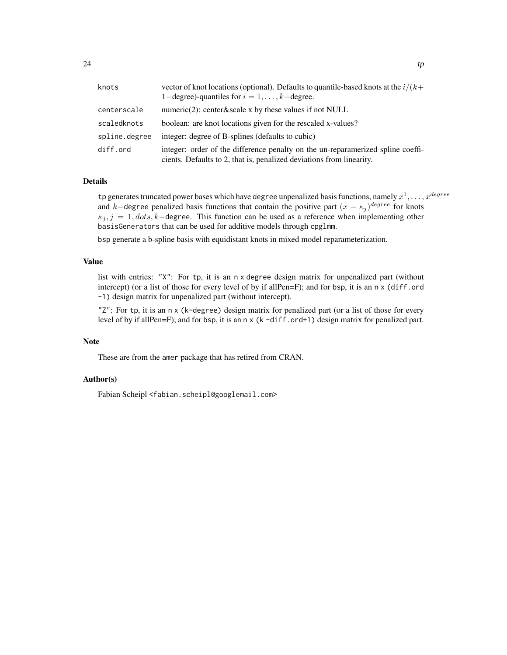| knots         | vector of knot locations (optional). Defaults to quantile-based knots at the $i/(k+$<br>1-degree)-quantiles for $i = 1, \ldots, k$ -degree.             |
|---------------|---------------------------------------------------------------------------------------------------------------------------------------------------------|
| centerscale   | numeric $(2)$ : center&scale x by these values if not NULL                                                                                              |
| scaledknots   | boolean: are knot locations given for the rescaled x-values?                                                                                            |
| spline.degree | integer: degree of B-splines (defaults to cubic)                                                                                                        |
| diff.ord      | integer: order of the difference penalty on the un-reparamerized spline coeffi-<br>cients. Defaults to 2, that is, penalized deviations from linearity. |

# Details

tp generates truncated power bases which have degree unpenalized basis functions, namely  $x^1, \ldots, x^{degree}$ and k–degree penalized basis functions that contain the positive part  $(x - \kappa_j)^{degree}$  for knots  $\kappa_i$ ,  $j = 1$ ,  $dots$ ,  $k$ −degree. This function can be used as a reference when implementing other basisGenerators that can be used for additive models through cpglmm.

bsp generate a b-spline basis with equidistant knots in mixed model reparameterization.

### Value

list with entries: "X": For tp, it is an n x degree design matrix for unpenalized part (without intercept) (or a list of those for every level of by if allPen=F); and for bsp, it is an n x (diff.ord -1) design matrix for unpenalized part (without intercept).

"Z": For tp, it is an n x (k-degree) design matrix for penalized part (or a list of those for every level of by if allPen=F); and for bsp, it is an n x (k -diff.ord+1) design matrix for penalized part.

# Note

These are from the amer package that has retired from CRAN.

#### Author(s)

Fabian Scheipl <fabian.scheipl@googlemail.com>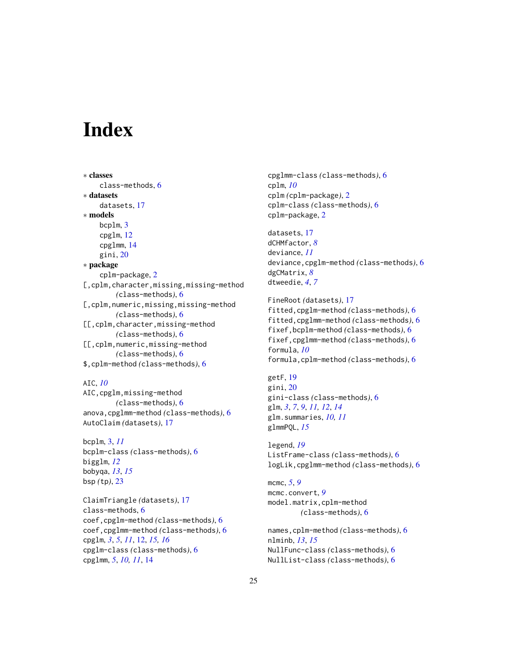# <span id="page-24-0"></span>**Index**

∗ classes class-methods, [6](#page-5-0) ∗ datasets datasets, [17](#page-16-0) ∗ models bcplm, [3](#page-2-0) cpglm, [12](#page-11-0) cpglmm, [14](#page-13-0) gini, [20](#page-19-0) ∗ package cplm-package, [2](#page-1-0) [, cplm, character, missing, missing-method *(*class-methods*)*, [6](#page-5-0) [, cplm, numeric, missing, missing-method *(*class-methods*)*, [6](#page-5-0) [[,cplm,character,missing-method *(*class-methods*)*, [6](#page-5-0) [[,cplm,numeric,missing-method *(*class-methods*)*, [6](#page-5-0) \$,cplm-method *(*class-methods*)*, [6](#page-5-0)

AIC, *[10](#page-9-0)*

AIC,cpglm,missing-method *(*class-methods*)*, [6](#page-5-0) anova,cpglmm-method *(*class-methods*)*, [6](#page-5-0) AutoClaim *(*datasets*)*, [17](#page-16-0)

bcplm, [3,](#page-2-0) *[11](#page-10-0)* bcplm-class *(*class-methods*)*, [6](#page-5-0) bigglm, *[12](#page-11-0)* bobyqa, *[13](#page-12-0)*, *[15](#page-14-0)* bsp *(*tp*)*, [23](#page-22-0)

ClaimTriangle *(*datasets*)*, [17](#page-16-0) class-methods, [6](#page-5-0) coef,cpglm-method *(*class-methods*)*, [6](#page-5-0) coef,cpglmm-method *(*class-methods*)*, [6](#page-5-0) cpglm, *[3](#page-2-0)*, *[5](#page-4-0)*, *[11](#page-10-0)*, [12,](#page-11-0) *[15,](#page-14-0) [16](#page-15-0)* cpglm-class *(*class-methods*)*, [6](#page-5-0) cpglmm, *[5](#page-4-0)*, *[10,](#page-9-0) [11](#page-10-0)*, [14](#page-13-0)

cpglmm-class *(*class-methods*)*, [6](#page-5-0) cplm, *[10](#page-9-0)* cplm *(*cplm-package*)*, [2](#page-1-0) cplm-class *(*class-methods*)*, [6](#page-5-0) cplm-package, [2](#page-1-0)

datasets, [17](#page-16-0) dCHMfactor, *[8](#page-7-0)* deviance, *[11](#page-10-0)* deviance,cpglm-method *(*class-methods*)*, [6](#page-5-0) dgCMatrix, *[8](#page-7-0)* dtweedie, *[4](#page-3-0)*, *[7](#page-6-0)*

FineRoot *(*datasets*)*, [17](#page-16-0) fitted,cpglm-method *(*class-methods*)*, [6](#page-5-0) fitted,cpglmm-method *(*class-methods*)*, [6](#page-5-0) fixef,bcplm-method *(*class-methods*)*, [6](#page-5-0) fixef,cpglmm-method *(*class-methods*)*, [6](#page-5-0) formula, *[10](#page-9-0)* formula,cplm-method *(*class-methods*)*, [6](#page-5-0)

getF, [19](#page-18-0) gini, [20](#page-19-0) gini-class *(*class-methods*)*, [6](#page-5-0) glm, *[3](#page-2-0)*, *[7](#page-6-0)*, *[9](#page-8-0)*, *[11,](#page-10-0) [12](#page-11-0)*, *[14](#page-13-0)* glm.summaries, *[10,](#page-9-0) [11](#page-10-0)* glmmPQL, *[15](#page-14-0)*

legend, *[19](#page-18-0)* ListFrame-class *(*class-methods*)*, [6](#page-5-0) logLik,cpglmm-method *(*class-methods*)*, [6](#page-5-0)

mcmc, *[5](#page-4-0)*, *[9](#page-8-0)* mcmc.convert, *[9](#page-8-0)* model.matrix,cplm-method *(*class-methods*)*, [6](#page-5-0)

```
names,cplm-method (class-methods), 6
nlminb, 13, 15
NullFunc-class (class-methods), 6
NullList-class (class-methods), 6
```